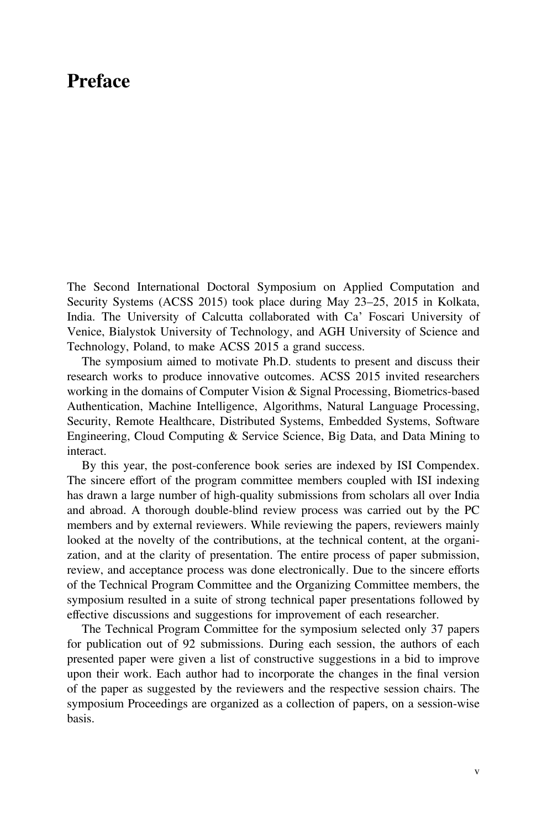## Preface

The Second International Doctoral Symposium on Applied Computation and Security Systems (ACSS 2015) took place during May 23–25, 2015 in Kolkata, India. The University of Calcutta collaborated with Ca' Foscari University of Venice, Bialystok University of Technology, and AGH University of Science and Technology, Poland, to make ACSS 2015 a grand success.

The symposium aimed to motivate Ph.D. students to present and discuss their research works to produce innovative outcomes. ACSS 2015 invited researchers working in the domains of Computer Vision & Signal Processing, Biometrics-based Authentication, Machine Intelligence, Algorithms, Natural Language Processing, Security, Remote Healthcare, Distributed Systems, Embedded Systems, Software Engineering, Cloud Computing & Service Science, Big Data, and Data Mining to interact.

By this year, the post-conference book series are indexed by ISI Compendex. The sincere effort of the program committee members coupled with ISI indexing has drawn a large number of high-quality submissions from scholars all over India and abroad. A thorough double-blind review process was carried out by the PC members and by external reviewers. While reviewing the papers, reviewers mainly looked at the novelty of the contributions, at the technical content, at the organization, and at the clarity of presentation. The entire process of paper submission, review, and acceptance process was done electronically. Due to the sincere efforts of the Technical Program Committee and the Organizing Committee members, the symposium resulted in a suite of strong technical paper presentations followed by effective discussions and suggestions for improvement of each researcher.

The Technical Program Committee for the symposium selected only 37 papers for publication out of 92 submissions. During each session, the authors of each presented paper were given a list of constructive suggestions in a bid to improve upon their work. Each author had to incorporate the changes in the final version of the paper as suggested by the reviewers and the respective session chairs. The symposium Proceedings are organized as a collection of papers, on a session-wise basis.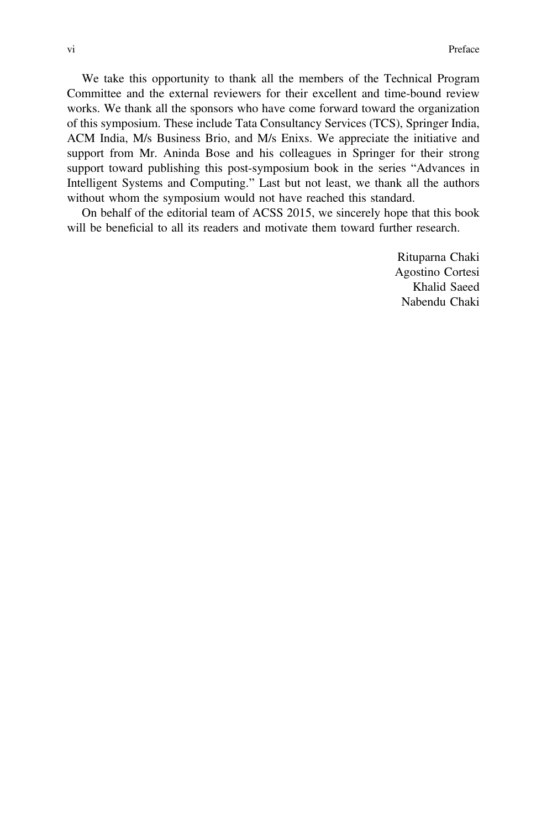We take this opportunity to thank all the members of the Technical Program Committee and the external reviewers for their excellent and time-bound review works. We thank all the sponsors who have come forward toward the organization of this symposium. These include Tata Consultancy Services (TCS), Springer India, ACM India, M/s Business Brio, and M/s Enixs. We appreciate the initiative and support from Mr. Aninda Bose and his colleagues in Springer for their strong support toward publishing this post-symposium book in the series "Advances in Intelligent Systems and Computing." Last but not least, we thank all the authors without whom the symposium would not have reached this standard.

On behalf of the editorial team of ACSS 2015, we sincerely hope that this book will be beneficial to all its readers and motivate them toward further research.

> Rituparna Chaki Agostino Cortesi Khalid Saeed Nabendu Chaki